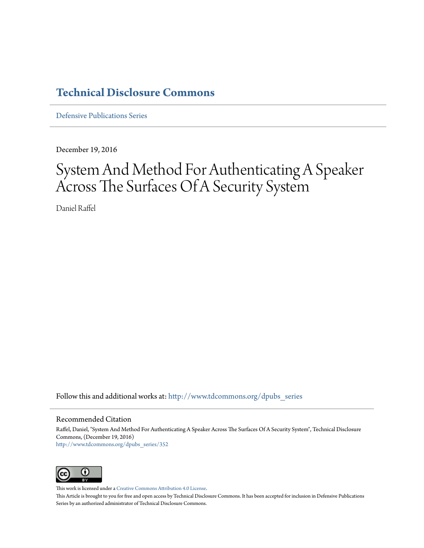### **[Technical Disclosure Commons](http://www.tdcommons.org?utm_source=www.tdcommons.org%2Fdpubs_series%2F352&utm_medium=PDF&utm_campaign=PDFCoverPages)**

[Defensive Publications Series](http://www.tdcommons.org/dpubs_series?utm_source=www.tdcommons.org%2Fdpubs_series%2F352&utm_medium=PDF&utm_campaign=PDFCoverPages)

December 19, 2016

## System And Method For Authenticating A Speaker Across The Surfaces Of A Security System

Daniel Raffel

Follow this and additional works at: [http://www.tdcommons.org/dpubs\\_series](http://www.tdcommons.org/dpubs_series?utm_source=www.tdcommons.org%2Fdpubs_series%2F352&utm_medium=PDF&utm_campaign=PDFCoverPages)

#### Recommended Citation

Raffel, Daniel, "System And Method For Authenticating A Speaker Across The Surfaces Of A Security System", Technical Disclosure Commons, (December 19, 2016) [http://www.tdcommons.org/dpubs\\_series/352](http://www.tdcommons.org/dpubs_series/352?utm_source=www.tdcommons.org%2Fdpubs_series%2F352&utm_medium=PDF&utm_campaign=PDFCoverPages)



This work is licensed under a [Creative Commons Attribution 4.0 License.](http://creativecommons.org/licenses/by/4.0/deed.en_US)

This Article is brought to you for free and open access by Technical Disclosure Commons. It has been accepted for inclusion in Defensive Publications Series by an authorized administrator of Technical Disclosure Commons.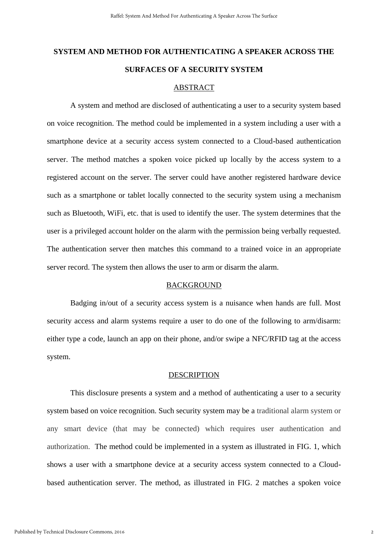# **SYSTEM AND METHOD FOR AUTHENTICATING A SPEAKER ACROSS THE SURFACES OF A SECURITY SYSTEM**

#### ABSTRACT

A system and method are disclosed of authenticating a user to a security system based on voice recognition. The method could be implemented in a system including a user with a smartphone device at a security access system connected to a Cloud-based authentication server. The method matches a spoken voice picked up locally by the access system to a registered account on the server. The server could have another registered hardware device such as a smartphone or tablet locally connected to the security system using a mechanism such as Bluetooth, WiFi, etc. that is used to identify the user. The system determines that the user is a privileged account holder on the alarm with the permission being verbally requested. The authentication server then matches this command to a trained voice in an appropriate server record. The system then allows the user to arm or disarm the alarm.

#### BACKGROUND

Badging in/out of a security access system is a nuisance when hands are full. Most security access and alarm systems require a user to do one of the following to arm/disarm: either type a code, launch an app on their phone, and/or swipe a NFC/RFID tag at the access system.

#### DESCRIPTION

This disclosure presents a system and a method of authenticating a user to a security system based on voice recognition. Such security system may be a traditional alarm system or any smart device (that may be connected) which requires user authentication and authorization. The method could be implemented in a system as illustrated in FIG. 1, which shows a user with a smartphone device at a security access system connected to a Cloudbased authentication server. The method, as illustrated in FIG. 2 matches a spoken voice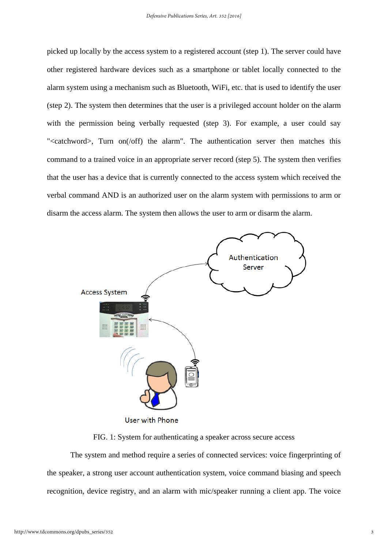picked up locally by the access system to a registered account (step 1). The server could have other registered hardware devices such as a smartphone or tablet locally connected to the alarm system using a mechanism such as Bluetooth, WiFi, etc. that is used to identify the user (step 2). The system then determines that the user is a privileged account holder on the alarm with the permission being verbally requested (step 3). For example, a user could say "<catchword>, Turn on(/off) the alarm". The authentication server then matches this command to a trained voice in an appropriate server record (step 5). The system then verifies that the user has a device that is currently connected to the access system which received the verbal command AND is an authorized user on the alarm system with permissions to arm or disarm the access alarm. The system then allows the user to arm or disarm the alarm.



FIG. 1: System for authenticating a speaker across secure access

The system and method require a series of connected services: voice fingerprinting of the speaker, a strong user account authentication system, voice command biasing and speech recognition, device registry, and an alarm with mic/speaker running a client app. The voice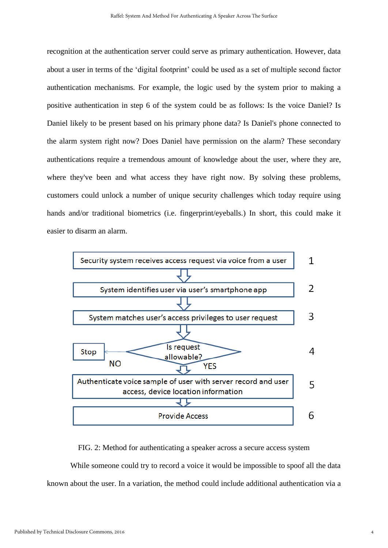recognition at the authentication server could serve as primary authentication. However, data about a user in terms of the 'digital footprint' could be used as a set of multiple second factor authentication mechanisms. For example, the logic used by the system prior to making a positive authentication in step 6 of the system could be as follows: Is the voice Daniel? Is Daniel likely to be present based on his primary phone data? Is Daniel's phone connected to the alarm system right now? Does Daniel have permission on the alarm? These secondary authentications require a tremendous amount of knowledge about the user, where they are, where they've been and what access they have right now. By solving these problems, customers could unlock a number of unique security challenges which today require using hands and/or traditional biometrics (i.e. fingerprint/eyeballs.) In short, this could make it easier to disarm an alarm.



#### FIG. 2: Method for authenticating a speaker across a secure access system

While someone could try to record a voice it would be impossible to spoof all the data known about the user. In a variation, the method could include additional authentication via a